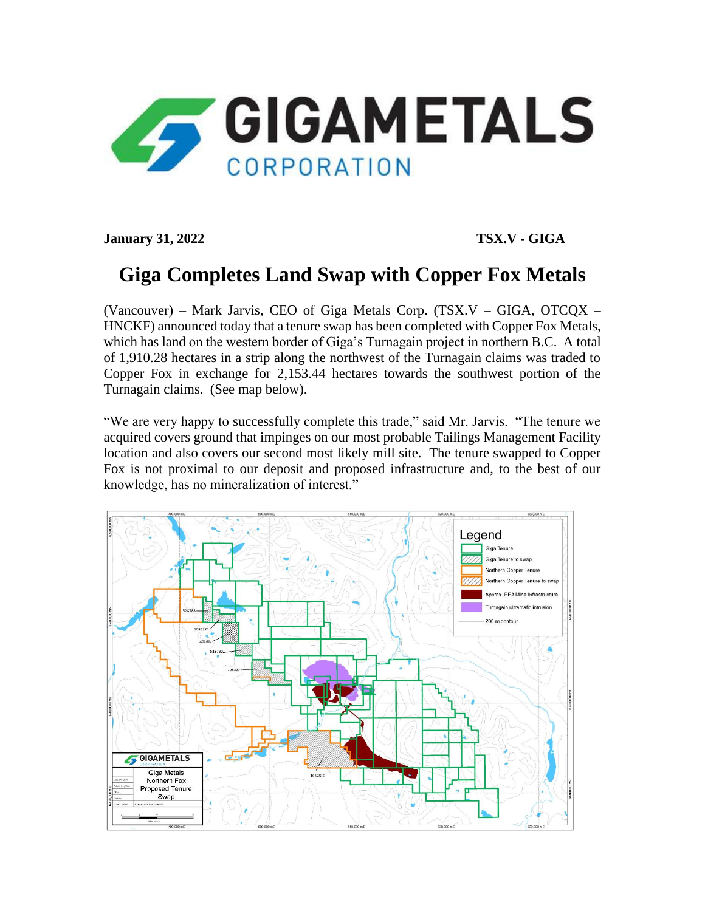

**January 31, 2022 TSX.V - GIGA**

## **Giga Completes Land Swap with Copper Fox Metals**

(Vancouver) – Mark Jarvis, CEO of Giga Metals Corp. (TSX.V – GIGA, OTCQX – HNCKF) announced today that a tenure swap has been completed with Copper Fox Metals, which has land on the western border of Giga's Turnagain project in northern B.C. A total of 1,910.28 hectares in a strip along the northwest of the Turnagain claims was traded to Copper Fox in exchange for 2,153.44 hectares towards the southwest portion of the Turnagain claims. (See map below).

"We are very happy to successfully complete this trade," said Mr. Jarvis. "The tenure we acquired covers ground that impinges on our most probable Tailings Management Facility location and also covers our second most likely mill site. The tenure swapped to Copper Fox is not proximal to our deposit and proposed infrastructure and, to the best of our knowledge, has no mineralization of interest."